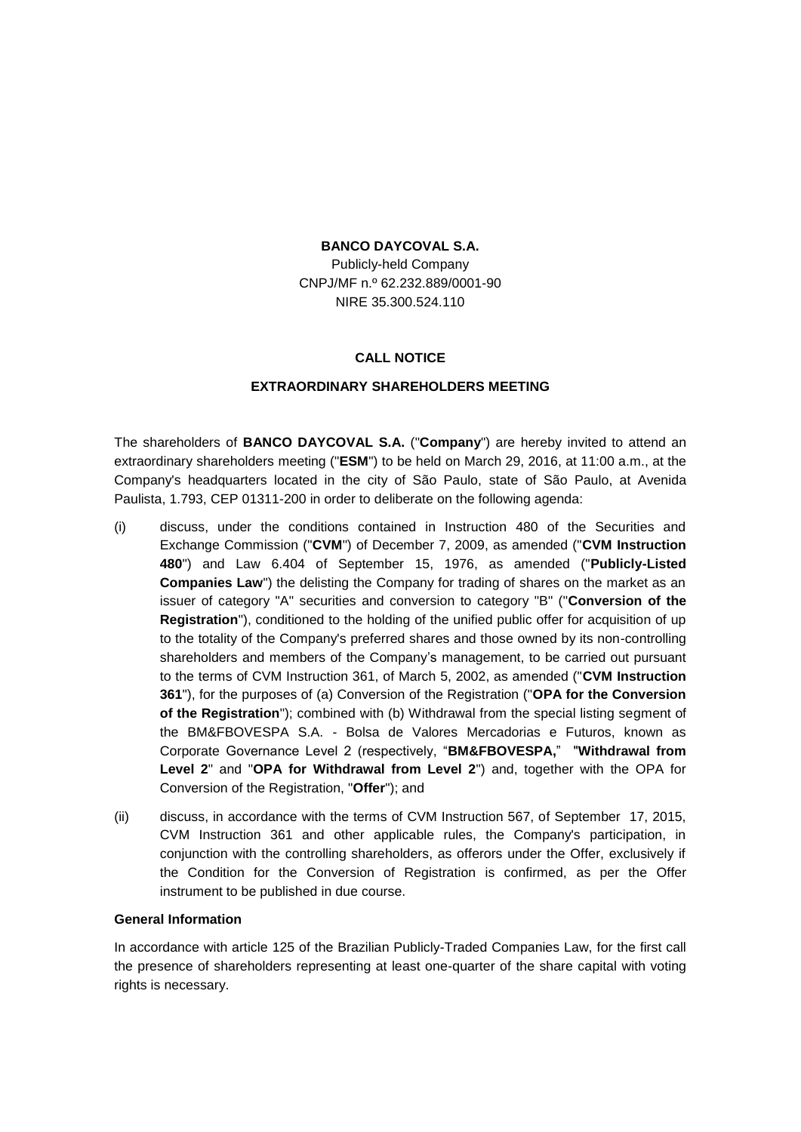## **BANCO DAYCOVAL S.A.**

Publicly-held Company CNPJ/MF n.º 62.232.889/0001-90 NIRE 35.300.524.110

## **CALL NOTICE**

## **EXTRAORDINARY SHAREHOLDERS MEETING**

The shareholders of **BANCO DAYCOVAL S.A.** ("**Company**") are hereby invited to attend an extraordinary shareholders meeting ("**ESM**") to be held on March 29, 2016, at 11:00 a.m., at the Company's headquarters located in the city of São Paulo, state of São Paulo, at Avenida Paulista, 1.793, CEP 01311-200 in order to deliberate on the following agenda:

- (i) discuss, under the conditions contained in Instruction 480 of the Securities and Exchange Commission ("**CVM**") of December 7, 2009, as amended ("**CVM Instruction 480**") and Law 6.404 of September 15, 1976, as amended ("**Publicly-Listed Companies Law**") the delisting the Company for trading of shares on the market as an issuer of category "A" securities and conversion to category "B" ("**Conversion of the Registration**"), conditioned to the holding of the unified public offer for acquisition of up to the totality of the Company's preferred shares and those owned by its non-controlling shareholders and members of the Company's management, to be carried out pursuant to the terms of CVM Instruction 361, of March 5, 2002, as amended ("**CVM Instruction 361**"), for the purposes of (a) Conversion of the Registration ("**OPA for the Conversion of the Registration**"); combined with (b) Withdrawal from the special listing segment of the BM&FBOVESPA S.A. - Bolsa de Valores Mercadorias e Futuros, known as Corporate Governance Level 2 (respectively, "**BM&FBOVESPA,**" "**Withdrawal from Level 2**" and "**OPA for Withdrawal from Level 2**") and, together with the OPA for Conversion of the Registration, "**Offer**"); and
- (ii) discuss, in accordance with the terms of CVM Instruction 567, of September 17, 2015, CVM Instruction 361 and other applicable rules, the Company's participation, in conjunction with the controlling shareholders, as offerors under the Offer, exclusively if the Condition for the Conversion of Registration is confirmed, as per the Offer instrument to be published in due course.

## **General Information**

In accordance with article 125 of the Brazilian Publicly-Traded Companies Law, for the first call the presence of shareholders representing at least one-quarter of the share capital with voting rights is necessary.